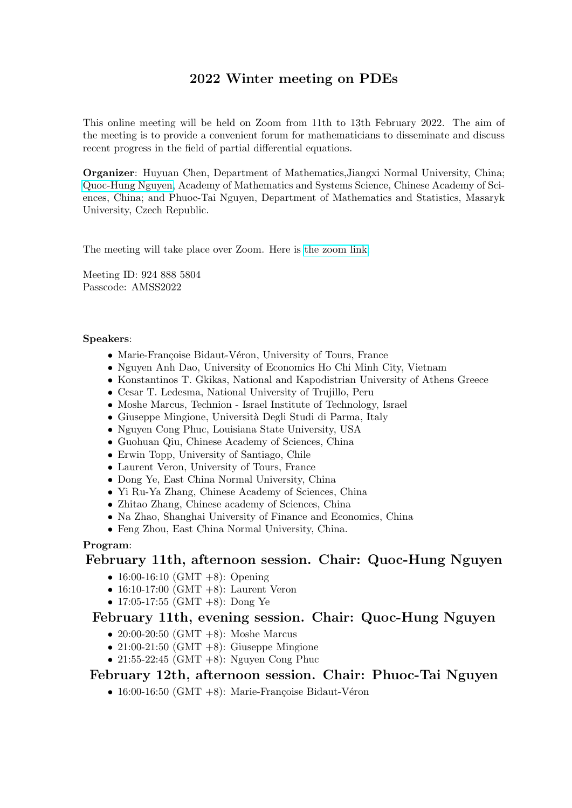# 2022 Winter meeting on PDEs

This online meeting will be held on Zoom from 11th to 13th February 2022. The aim of the meeting is to provide a convenient forum for mathematicians to disseminate and discuss recent progress in the field of partial differential equations.

Organizer: Huyuan Chen, Department of Mathematics,Jiangxi Normal University, China; [Quoc-Hung Nguyen,](https://nguyenquochung1241.wixsite.com/qhung) Academy of Mathematics and Systems Science, Chinese Academy of Sciences, China; and Phuoc-Tai Nguyen, Department of Mathematics and Statistics, Masaryk University, Czech Republic.

The meeting will take place over Zoom. Here is [the zoom link:](https://zoom.us/j/9248885804?pwd=OXg2VDhBT0pxRkd1Z3RJS0NFMnRDdz09 )

Meeting ID: 924 888 5804 Passcode: AMSS2022

### Speakers:

- Marie-Françoise Bidaut-Véron, University of Tours, France
- Nguyen Anh Dao, University of Economics Ho Chi Minh City, Vietnam
- Konstantinos T. Gkikas, National and Kapodistrian University of Athens Greece
- Cesar T. Ledesma, National University of Trujillo, Peru
- Moshe Marcus, Technion Israel Institute of Technology, Israel
- Giuseppe Mingione, Università Degli Studi di Parma, Italy
- Nguyen Cong Phuc, Louisiana State University, USA
- Guohuan Qiu, Chinese Academy of Sciences, China
- Erwin Topp, University of Santiago, Chile
- Laurent Veron, University of Tours, France
- Dong Ye, East China Normal University, China
- Yi Ru-Ya Zhang, Chinese Academy of Sciences, China
- Zhitao Zhang, Chinese academy of Sciences, China
- Na Zhao, Shanghai University of Finance and Economics, China
- Feng Zhou, East China Normal University, China.

## Program:

## February 11th, afternoon session. Chair: Quoc-Hung Nguyen

- 16:00-16:10 (GMT +8): Opening
- 16:10-17:00 (GMT  $+8$ ): Laurent Veron
- 17:05-17:55 (GMT +8): Dong Ye

## February 11th, evening session. Chair: Quoc-Hung Nguyen

- 20:00-20:50 (GMT  $+8$ ): Moshe Marcus
- 21:00-21:50 (GMT  $+8$ ): Giuseppe Mingione
- 21:55-22:45 (GMT  $+8$ ): Nguyen Cong Phuc

## February 12th, afternoon session. Chair: Phuoc-Tai Nguyen

• 16:00-16:50 (GMT +8): Marie-Françoise Bidaut-Véron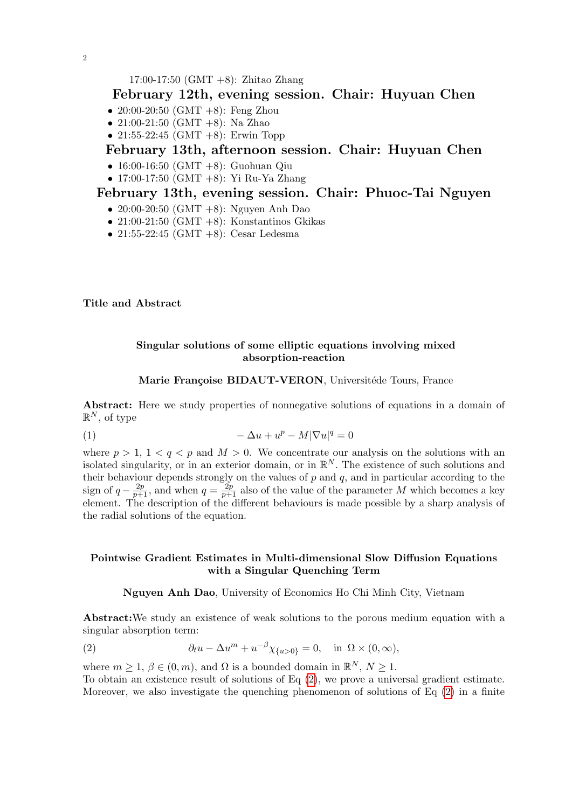17:00-17:50 (GMT +8): Zhitao Zhang

## February 12th, evening session. Chair: Huyuan Chen

- 20:00-20:50 (GMT +8): Feng Zhou
- 21:00-21:50 (GMT +8): Na Zhao
- 21:55-22:45 (GMT +8): Erwin Topp

## February 13th, afternoon session. Chair: Huyuan Chen

- 16:00-16:50 (GMT +8): Guohuan Qiu
- 17:00-17:50 (GMT +8): Yi Ru-Ya Zhang

## February 13th, evening session. Chair: Phuoc-Tai Nguyen

- 20:00-20:50 (GMT +8): Nguyen Anh Dao
- 21:00-21:50 (GMT +8): Konstantinos Gkikas
- 21:55-22:45 (GMT +8): Cesar Ledesma

Title and Abstract

## Singular solutions of some elliptic equations involving mixed absorption-reaction

### Marie Françoise BIDAUT-VERON, Universitéde Tours, France

Abstract: Here we study properties of nonnegative solutions of equations in a domain of  $\mathbb{R}^N$ , of type

$$
(1) \qquad \qquad -\Delta u + u^p - M|\nabla u|^q = 0
$$

where  $p > 1$ ,  $1 < q < p$  and  $M > 0$ . We concentrate our analysis on the solutions with an isolated singularity, or in an exterior domain, or in  $\mathbb{R}^N$ . The existence of such solutions and their behaviour depends strongly on the values of  $p$  and  $q$ , and in particular according to the sign of  $q - \frac{2p}{p+1}$ , and when  $q = \frac{2p}{p+1}$  also of the value of the parameter M which becomes a key element. The description of the different behaviours is made possible by a sharp analysis of the radial solutions of the equation.

### Pointwise Gradient Estimates in Multi-dimensional Slow Diffusion Equations with a Singular Quenching Term

<span id="page-1-0"></span>Nguyen Anh Dao, University of Economics Ho Chi Minh City, Vietnam

Abstract:We study an existence of weak solutions to the porous medium equation with a singular absorption term:

(2) 
$$
\partial_t u - \Delta u^m + u^{-\beta} \chi_{\{u>0\}} = 0, \text{ in } \Omega \times (0, \infty),
$$

where  $m \geq 1, \beta \in (0, m)$ , and  $\Omega$  is a bounded domain in  $\mathbb{R}^N, N \geq 1$ .

To obtain an existence result of solutions of Eq [\(2\)](#page-1-0), we prove a universal gradient estimate. Moreover, we also investigate the quenching phenomenon of solutions of Eq  $(2)$  in a finite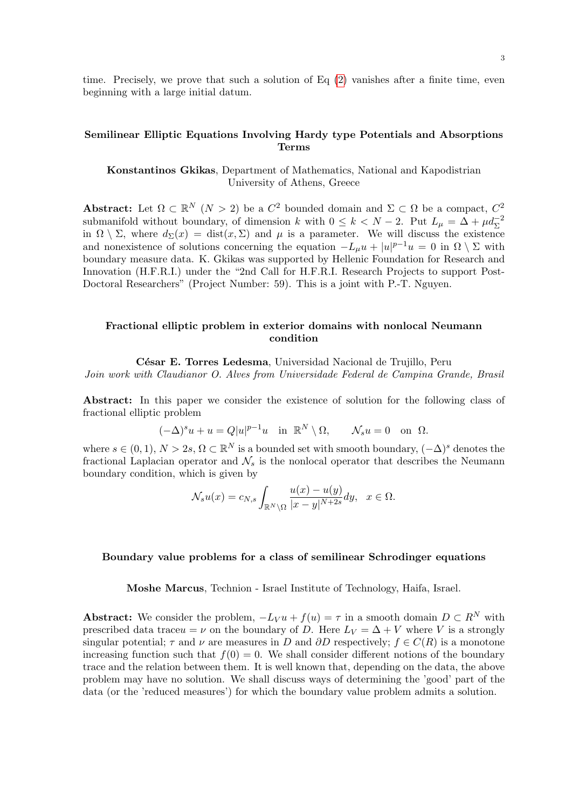time. Precisely, we prove that such a solution of Eq [\(2\)](#page-1-0) vanishes after a finite time, even beginning with a large initial datum.

### Semilinear Elliptic Equations Involving Hardy type Potentials and Absorptions Terms

Konstantinos Gkikas, Department of Mathematics, National and Kapodistrian University of Athens, Greece

Abstract: Let  $\Omega \subset \mathbb{R}^N$   $(N > 2)$  be a  $C^2$  bounded domain and  $\Sigma \subset \Omega$  be a compact,  $C^2$ submanifold without boundary, of dimension k with  $0 \le k < N - 2$ . Put  $L_{\mu} = \Delta + \mu d_{\Sigma}^{-2}$ in  $\Omega \setminus \Sigma$ , where  $d_{\Sigma}(x) = \text{dist}(x, \Sigma)$  and  $\mu$  is a parameter. We will discuss the existence and nonexistence of solutions concerning the equation  $-L_{\mu}u + |u|^{p-1}u = 0$  in  $\Omega \setminus \Sigma$  with boundary measure data. K. Gkikas was supported by Hellenic Foundation for Research and Innovation (H.F.R.I.) under the "2nd Call for H.F.R.I. Research Projects to support Post-Doctoral Researchers" (Project Number: 59). This is a joint with P.-T. Nguyen.

### Fractional elliptic problem in exterior domains with nonlocal Neumann condition

César E. Torres Ledesma, Universidad Nacional de Trujillo, Peru Join work with Claudianor O. Alves from Universidade Federal de Campina Grande, Brasil

Abstract: In this paper we consider the existence of solution for the following class of fractional elliptic problem

$$
(-\Delta)^s u + u = Q|u|^{p-1}u \quad \text{in } \mathbb{R}^N \setminus \Omega, \qquad \mathcal{N}_s u = 0 \quad \text{on } \Omega.
$$

where  $s \in (0,1), N > 2s, \Omega \subset \mathbb{R}^N$  is a bounded set with smooth boundary,  $(-\Delta)^s$  denotes the fractional Laplacian operator and  $\mathcal{N}_s$  is the nonlocal operator that describes the Neumann boundary condition, which is given by

$$
\mathcal{N}_s u(x) = c_{N,s} \int_{\mathbb{R}^N \setminus \Omega} \frac{u(x) - u(y)}{|x - y|^{N+2s}} dy, \quad x \in \Omega.
$$

#### Boundary value problems for a class of semilinear Schrodinger equations

Moshe Marcus, Technion - Israel Institute of Technology, Haifa, Israel.

Abstract: We consider the problem,  $-L_V u + f(u) = \tau$  in a smooth domain  $D \subset R^N$  with prescribed data traceu = v on the boundary of D. Here  $L_V = \Delta + V$  where V is a strongly singular potential;  $\tau$  and  $\nu$  are measures in D and  $\partial D$  respectively;  $f \in C(R)$  is a monotone increasing function such that  $f(0) = 0$ . We shall consider different notions of the boundary trace and the relation between them. It is well known that, depending on the data, the above problem may have no solution. We shall discuss ways of determining the 'good' part of the data (or the 'reduced measures') for which the boundary value problem admits a solution.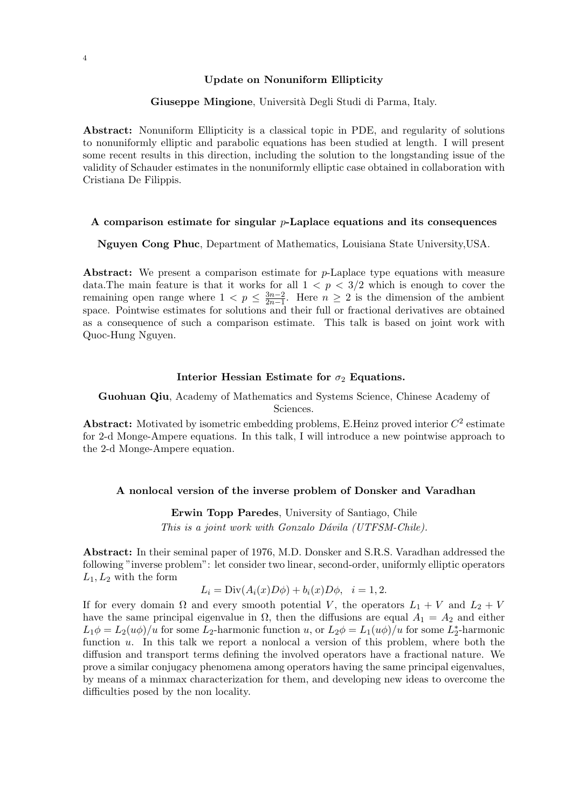#### Update on Nonuniform Ellipticity

#### Giuseppe Mingione, Università Degli Studi di Parma, Italy.

Abstract: Nonuniform Ellipticity is a classical topic in PDE, and regularity of solutions to nonuniformly elliptic and parabolic equations has been studied at length. I will present some recent results in this direction, including the solution to the longstanding issue of the validity of Schauder estimates in the nonuniformly elliptic case obtained in collaboration with Cristiana De Filippis.

#### A comparison estimate for singular  $p$ -Laplace equations and its consequences

Nguyen Cong Phuc, Department of Mathematics, Louisiana State University,USA.

Abstract: We present a comparison estimate for p-Laplace type equations with measure data. The main feature is that it works for all  $1 < p < 3/2$  which is enough to cover the remaining open range where  $1 < p \leq \frac{3n-2}{2n-1}$  $\frac{3n-2}{2n-1}$ . Here  $n \geq 2$  is the dimension of the ambient space. Pointwise estimates for solutions and their full or fractional derivatives are obtained as a consequence of such a comparison estimate. This talk is based on joint work with Quoc-Hung Nguyen.

### Interior Hessian Estimate for  $\sigma_2$  Equations.

Guohuan Qiu, Academy of Mathematics and Systems Science, Chinese Academy of Sciences.

Abstract: Motivated by isometric embedding problems, E. Heinz proved interior  $C^2$  estimate for 2-d Monge-Ampere equations. In this talk, I will introduce a new pointwise approach to the 2-d Monge-Ampere equation.

#### A nonlocal version of the inverse problem of Donsker and Varadhan

Erwin Topp Paredes, University of Santiago, Chile This is a joint work with Gonzalo Dávila (UTFSM-Chile).

Abstract: In their seminal paper of 1976, M.D. Donsker and S.R.S. Varadhan addressed the following "inverse problem": let consider two linear, second-order, uniformly elliptic operators  $L_1, L_2$  with the form

$$
L_i = \text{Div}(A_i(x)D\phi) + b_i(x)D\phi, \quad i = 1, 2.
$$

If for every domain  $\Omega$  and every smooth potential V, the operators  $L_1 + V$  and  $L_2 + V$ have the same principal eigenvalue in  $\Omega$ , then the diffusions are equal  $A_1 = A_2$  and either  $L_1\phi = L_2(u\phi)/u$  for some  $L_2$ -harmonic function  $u$ , or  $L_2\phi = L_1(u\phi)/u$  for some  $L_2^*$ -harmonic function u. In this talk we report a nonlocal a version of this problem, where both the diffusion and transport terms defining the involved operators have a fractional nature. We prove a similar conjugacy phenomena among operators having the same principal eigenvalues, by means of a minmax characterization for them, and developing new ideas to overcome the difficulties posed by the non locality.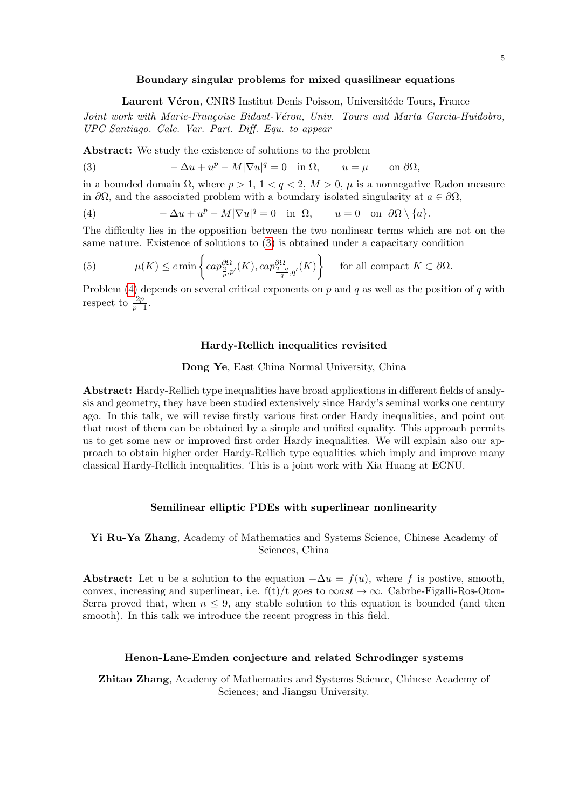#### Boundary singular problems for mixed quasilinear equations

<span id="page-4-0"></span>Laurent Véron, CNRS Institut Denis Poisson, Universitéde Tours, France

Joint work with Marie-Françoise Bidaut-Véron, Univ. Tours and Marta Garcia-Huidobro, UPC Santiago. Calc. Var. Part. Diff. Equ. to appear

Abstract: We study the existence of solutions to the problem

(3) 
$$
-\Delta u + u^p - M|\nabla u|^q = 0 \text{ in } \Omega, \qquad u = \mu \qquad \text{on } \partial\Omega,
$$

in a bounded domain  $\Omega$ , where  $p > 1$ ,  $1 < q < 2$ ,  $M > 0$ ,  $\mu$  is a nonnegative Radon measure in  $\partial\Omega$ , and the associated problem with a boundary isolated singularity at  $a \in \partial\Omega$ ,

<span id="page-4-1"></span>(4) 
$$
-\Delta u + u^p - M|\nabla u|^q = 0 \text{ in } \Omega, \qquad u = 0 \text{ on } \partial\Omega \setminus \{a\}.
$$

The difficulty lies in the opposition between the two nonlinear terms which are not on the same nature. Existence of solutions to [\(3\)](#page-4-0) is obtained under a capacitary condition

(5) 
$$
\mu(K) \leq c \min \left\{ cap_{\frac{2}{p},p'}^{\partial \Omega}(K), cap_{\frac{2-q}{q},q'}^{\partial \Omega}(K) \right\} \quad \text{for all compact } K \subset \partial \Omega.
$$

Problem [\(4\)](#page-4-1) depends on several critical exponents on p and q as well as the position of q with respect to  $\frac{2p}{p+1}$ .

#### Hardy-Rellich inequalities revisited

#### Dong Ye, East China Normal University, China

Abstract: Hardy-Rellich type inequalities have broad applications in different fields of analysis and geometry, they have been studied extensively since Hardy's seminal works one century ago. In this talk, we will revise firstly various first order Hardy inequalities, and point out that most of them can be obtained by a simple and unified equality. This approach permits us to get some new or improved first order Hardy inequalities. We will explain also our approach to obtain higher order Hardy-Rellich type equalities which imply and improve many classical Hardy-Rellich inequalities. This is a joint work with Xia Huang at ECNU.

#### Semilinear elliptic PDEs with superlinear nonlinearity

### Yi Ru-Ya Zhang, Academy of Mathematics and Systems Science, Chinese Academy of Sciences, China

Abstract: Let u be a solution to the equation  $-\Delta u = f(u)$ , where f is postive, smooth, convex, increasing and superlinear, i.e.  $f(t)/t$  goes to  $\infty ast \to \infty$ . Cabrbe-Figalli-Ros-Oton-Serra proved that, when  $n \leq 9$ , any stable solution to this equation is bounded (and then smooth). In this talk we introduce the recent progress in this field.

#### Henon-Lane-Emden conjecture and related Schrodinger systems

Zhitao Zhang, Academy of Mathematics and Systems Science, Chinese Academy of Sciences; and Jiangsu University.